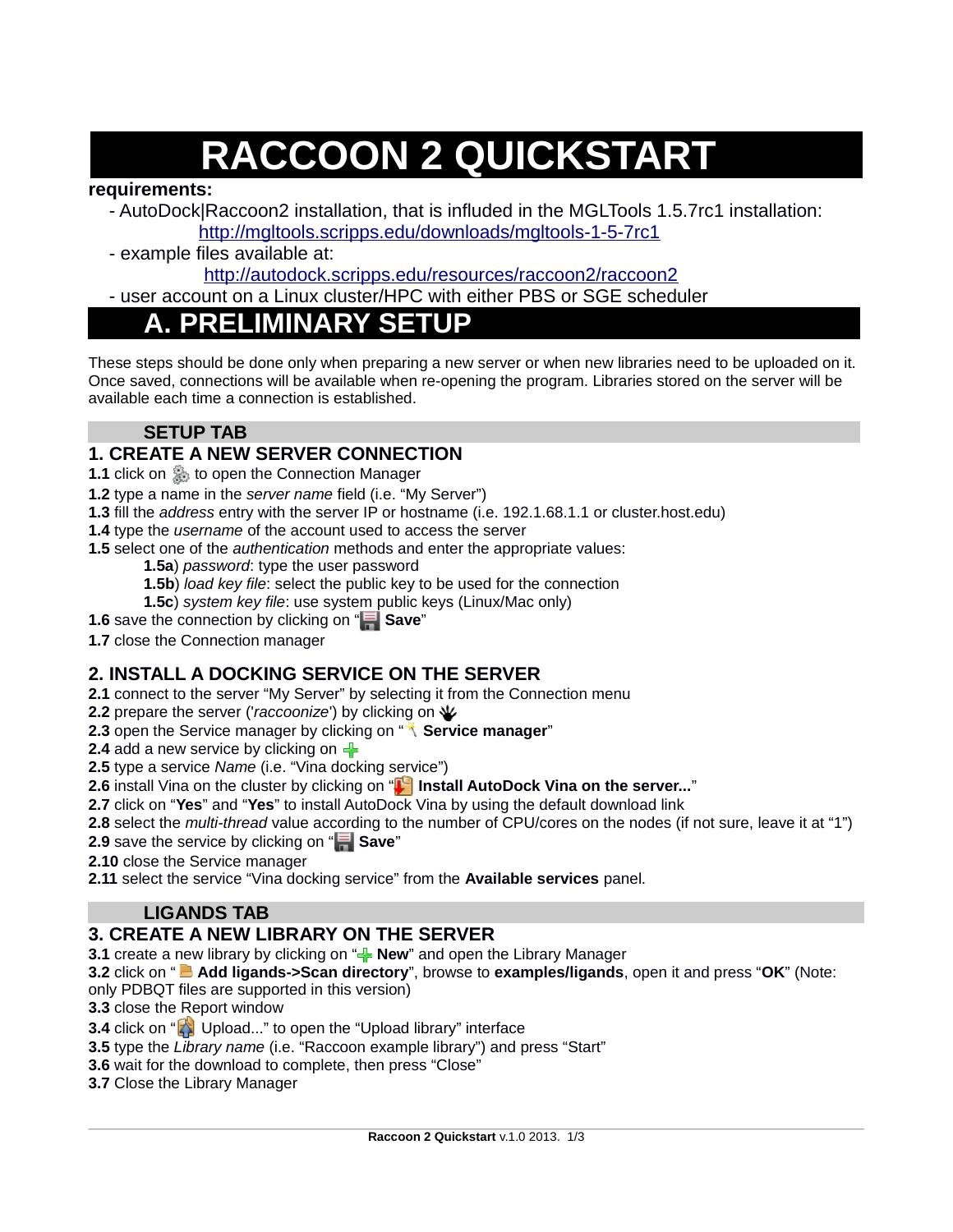# **RACCOON 2 QUICKSTART**

#### **requirements:**

- AutoDock|Raccoon2 installation, that is influded in the MGLTools 1.5.7rc1 installation:

<http://mgltools.scripps.edu/downloads/mgltools-1-5-7rc1>

- example files available at:

<http://autodock.scripps.edu/resources/raccoon2/raccoon2>

- user account on a Linux cluster/HPC with either PBS or SGE scheduler

# **A. PRELIMINARY SETUP**

These steps should be done only when preparing a new server or when new libraries need to be uploaded on it. Once saved, connections will be available when re-opening the program. Libraries stored on the server will be available each time a connection is established.

# **SETUP TAB**

# **1. CREATE A NEW SERVER CONNECTION**

**1.1** click on **the Connection Manager** 

**1.2** type a name in the *server name* field (i.e. "My Server")

**1.3** fill the *address* entry with the server IP or hostname (i.e. 192.1.68.1.1 or cluster.host.edu)

**1.4** type the *username* of the account used to access the server

**1.5** select one of the *authentication* methods and enter the appropriate values:

**1.5a**) *password*: type the user password

**1.5b**) *load key file*: select the public key to be used for the connection

**1.5c**) *system key file*: use system public keys (Linux/Mac only)

**1.6** save the connection by clicking on "**Save**"

**1.7** close the Connection manager

# **2. INSTALL A DOCKING SERVICE ON THE SERVER**

**2.1** connect to the server "My Server" by selecting it from the Connection menu

**2.2** prepare the server ('*raccoonize*') by clicking on  $\Psi$ 

**2.3** open the Service manager by clicking on " **Service manager**"

**2.4** add a new service by clicking on  $\frac{1}{2}$ 

**2.5** type a service *Name* (i.e. "Vina docking service")

**2.6** install Vina on the cluster by clicking on "**Install AutoDock Vina on the server...**"

**2.7** click on "**Yes**" and "**Yes**" to install AutoDock Vina by using the default download link

**2.8** select the *multi-thread* value according to the number of CPU/cores on the nodes (if not sure, leave it at "1")

**2.9** save the service by clicking on "**Save**"

**2.10** close the Service manager

**2.11** select the service "Vina docking service" from the **Available services** panel.

#### **LIGANDS TAB**

# **3. CREATE A NEW LIBRARY ON THE SERVER**

**3.1** create a new library by clicking on " $\frac{1}{2}$  **New**" and open the Library Manager

**3.2** click on " **Add ligands->Scan directory**", browse to **examples/ligands**, open it and press "**OK**" (Note:

only PDBQT files are supported in this version)

**3.3** close the Report window

**3.4** click on "**A** Upload..." to open the "Upload library" interface

**3.5** type the *Library name* (i.e. "Raccoon example library") and press "Start"

**3.6** wait for the download to complete, then press "Close"

**3.7** Close the Library Manager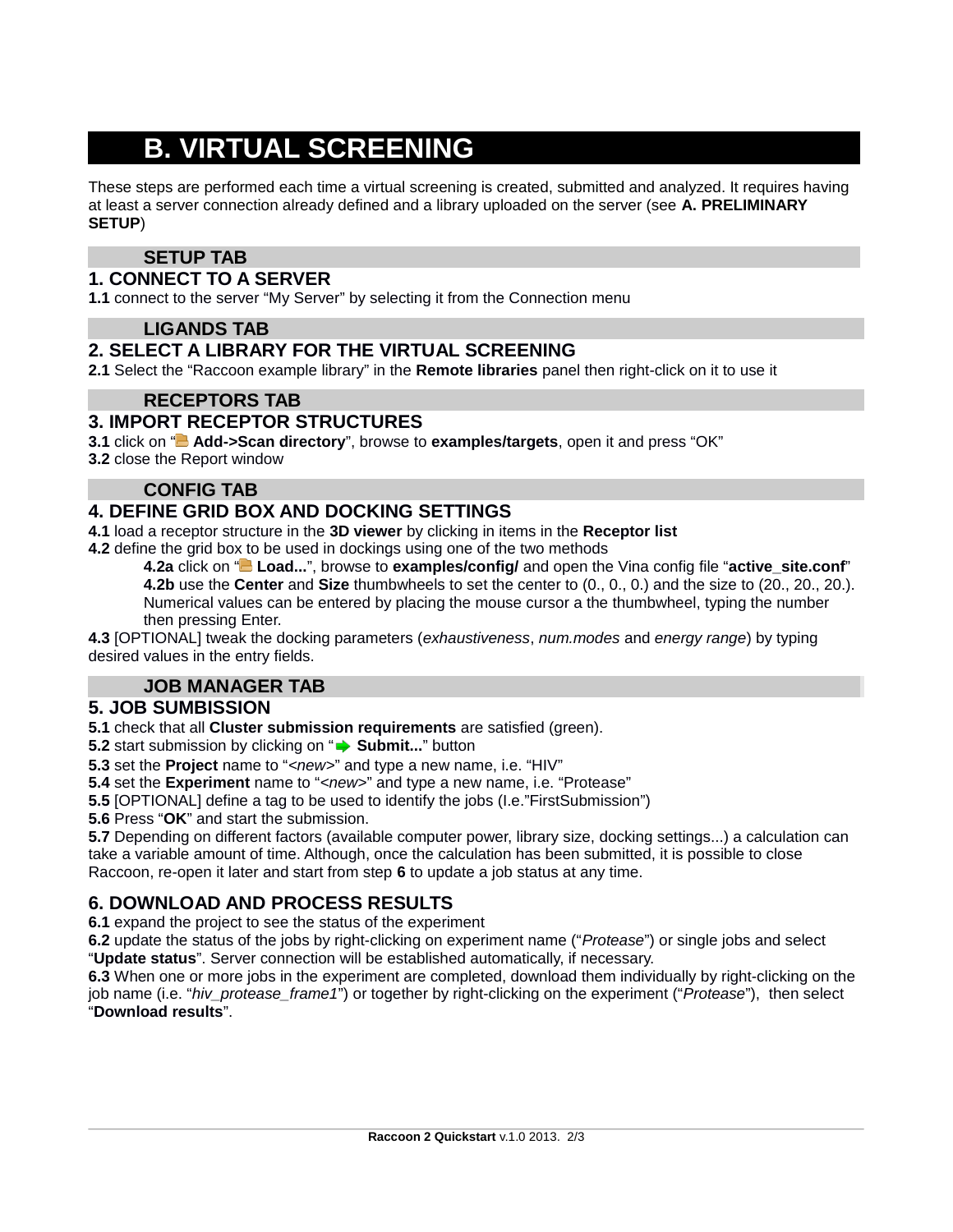# **B. VIRTUAL SCREENING**

These steps are performed each time a virtual screening is created, submitted and analyzed. It requires having at least a server connection already defined and a library uploaded on the server (see **A. PRELIMINARY SETUP**)

# **SETUP TAB**

#### **1. CONNECT TO A SERVER**

**1.1** connect to the server "My Server" by selecting it from the Connection menu

#### **LIGANDS TAB**

#### **2. SELECT A LIBRARY FOR THE VIRTUAL SCREENING**

**2.1** Select the "Raccoon example library" in the **Remote libraries** panel then right-click on it to use it

#### **RECEPTORS TAB**

#### **3. IMPORT RECEPTOR STRUCTURES**

**3.1** click on "**B** Add->Scan directory", browse to examples/targets, open it and press "OK" **3.2** close the Report window

#### **CONFIG TAB**

#### **4. DEFINE GRID BOX AND DOCKING SETTINGS**

**4.1** load a receptor structure in the **3D viewer** by clicking in items in the **Receptor list**

**4.2** define the grid box to be used in dockings using one of the two methods

**4.2a** click on " **Load...**", browse to **examples/config/** and open the Vina config file "**active\_site.conf**" **4.2b** use the **Center** and **Size** thumbwheels to set the center to (0., 0., 0.) and the size to (20., 20., 20.).

Numerical values can be entered by placing the mouse cursor a the thumbwheel, typing the number then pressing Enter.

**4.3** [OPTIONAL] tweak the docking parameters (*exhaustiveness*, *num.modes* and *energy range*) by typing desired values in the entry fields.

#### **JOB MANAGER TAB**

#### **5. JOB SUMBISSION**

**5.1** check that all **Cluster submission requirements** are satisfied (green).

**5.2** start submission by clicking on " $\rightarrow$  **Submit...**" button

**5.3** set the **Project** name to "*<new>*" and type a new name, i.e. "HIV"

**5.4** set the **Experiment** name to "*<new>*" and type a new name, i.e. "Protease"

**5.5** [OPTIONAL] define a tag to be used to identify the jobs (I.e."FirstSubmission")

**5.6** Press "**OK**" and start the submission.

**5.7** Depending on different factors (available computer power, library size, docking settings...) a calculation can take a variable amount of time. Although, once the calculation has been submitted, it is possible to close Raccoon, re-open it later and start from step **6** to update a job status at any time.

# **6. DOWNLOAD AND PROCESS RESULTS**

**6.1** expand the project to see the status of the experiment

**6.2** update the status of the jobs by right-clicking on experiment name ("*Protease*") or single jobs and select "**Update status**". Server connection will be established automatically, if necessary.

**6.3** When one or more jobs in the experiment are completed, download them individually by right-clicking on the job name (i.e. "*hiv\_protease\_frame1*") or together by right-clicking on the experiment ("*Protease*"), then select "**Download results**".